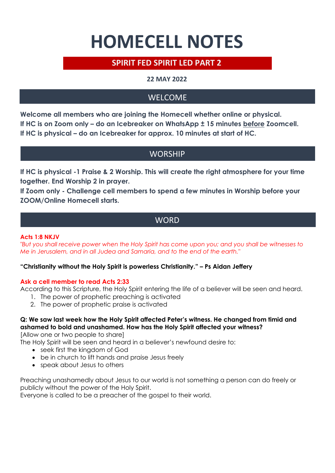# **HOMECELL NOTES**

# **SPIRIT FED SPIRIT LED PART 2**

## **22 MAY 2022**

# WELCOME

**Welcome all members who are joining the Homecell whether online or physical. If HC is on Zoom only – do an Icebreaker on WhatsApp ± 15 minutes before Zoomcell. If HC is physical – do an Icebreaker for approx. 10 minutes at start of HC.**

# **WORSHIP**

**If HC is physical -1 Praise & 2 Worship. This will create the right atmosphere for your time together. End Worship 2 in prayer.**

**If Zoom only - Challenge cell members to spend a few minutes in Worship before your ZOOM/Online Homecell starts.** 

# **WORD**

## **Acts 1:8 NKJV**

*"But you shall receive power when the Holy Spirit has come upon you; and you shall be witnesses to Me in Jerusalem, and in all Judea and Samaria, and to the end of the earth."*

## **"Christianity without the Holy Spirit is powerless Christianity." – Ps Aidan Jeffery**

## **Ask a cell member to read Acts 2:33**

According to this Scripture, the Holy Spirit entering the life of a believer will be seen and heard.

- 1. The power of prophetic preaching is activated
- 2. The power of prophetic praise is activated

## **Q: We saw last week how the Holy Spirit affected Peter's witness. He changed from timid and ashamed to bold and unashamed. How has the Holy Spirit affected your witness?**

[Allow one or two people to share]

The Holy Spirit will be seen and heard in a believer's newfound desire to:

- seek first the kingdom of God
- be in church to lift hands and praise Jesus freely
- speak about Jesus to others

Preaching unashamedly about Jesus to our world is not something a person can do freely or publicly without the power of the Holy Spirit.

Everyone is called to be a preacher of the gospel to their world.